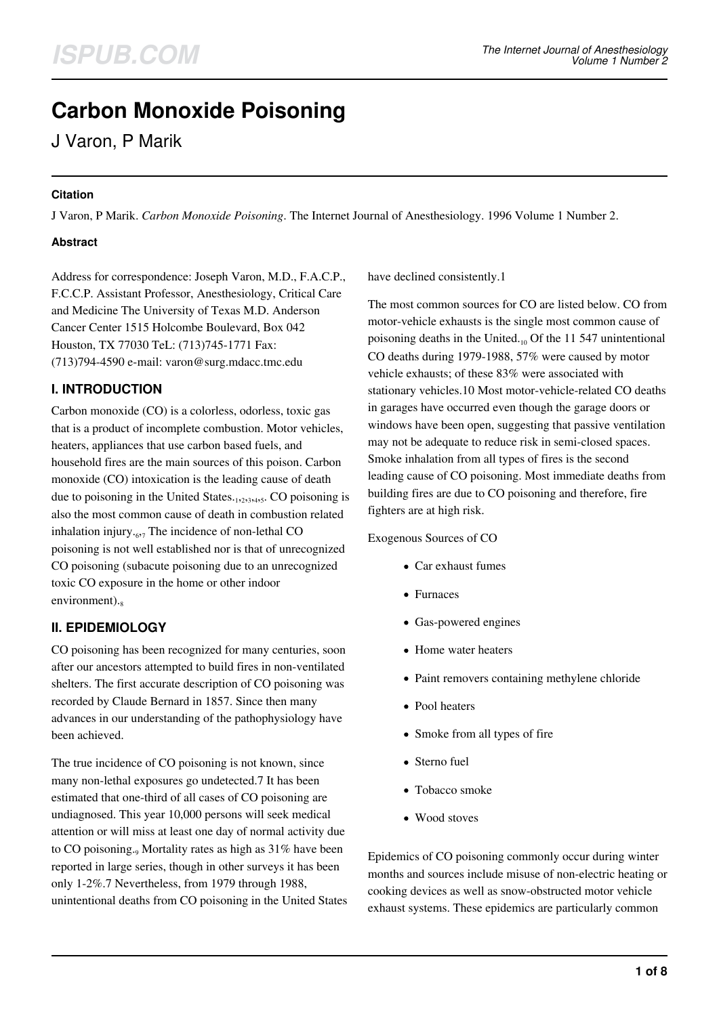# **Carbon Monoxide Poisoning**

J Varon, P Marik

#### **Citation**

J Varon, P Marik. *Carbon Monoxide Poisoning*. The Internet Journal of Anesthesiology. 1996 Volume 1 Number 2.

#### **Abstract**

Address for correspondence: Joseph Varon, M.D., F.A.C.P., F.C.C.P. Assistant Professor, Anesthesiology, Critical Care and Medicine The University of Texas M.D. Anderson Cancer Center 1515 Holcombe Boulevard, Box 042 Houston, TX 77030 TeL: (713)745-1771 Fax: (713)794-4590 e-mail: varon@surg.mdacc.tmc.edu

## **I. INTRODUCTION**

Carbon monoxide (CO) is a colorless, odorless, toxic gas that is a product of incomplete combustion. Motor vehicles, heaters, appliances that use carbon based fuels, and household fires are the main sources of this poison. Carbon monoxide (CO) intoxication is the leading cause of death due to poisoning in the United States.<sub>1,2,3,4,5</sub>. CO poisoning is also the most common cause of death in combustion related inhalation injury.<sub>67</sub> The incidence of non-lethal CO poisoning is not well established nor is that of unrecognized CO poisoning (subacute poisoning due to an unrecognized toxic CO exposure in the home or other indoor environment).

# **II. EPIDEMIOLOGY**

CO poisoning has been recognized for many centuries, soon after our ancestors attempted to build fires in non-ventilated shelters. The first accurate description of CO poisoning was recorded by Claude Bernard in 1857. Since then many advances in our understanding of the pathophysiology have been achieved.

The true incidence of CO poisoning is not known, since many non-lethal exposures go undetected.7 It has been estimated that one-third of all cases of CO poisoning are undiagnosed. This year 10,000 persons will seek medical attention or will miss at least one day of normal activity due to CO poisoning.<sub>9</sub> Mortality rates as high as 31% have been reported in large series, though in other surveys it has been only 1-2%.7 Nevertheless, from 1979 through 1988, unintentional deaths from CO poisoning in the United States have declined consistently.1

The most common sources for CO are listed below. CO from motor-vehicle exhausts is the single most common cause of poisoning deaths in the United. $_{10}$  Of the 11 547 unintentional CO deaths during 1979-1988, 57% were caused by motor vehicle exhausts; of these 83% were associated with stationary vehicles.10 Most motor-vehicle-related CO deaths in garages have occurred even though the garage doors or windows have been open, suggesting that passive ventilation may not be adequate to reduce risk in semi-closed spaces. Smoke inhalation from all types of fires is the second leading cause of CO poisoning. Most immediate deaths from building fires are due to CO poisoning and therefore, fire fighters are at high risk.

#### Exogenous Sources of CO

- Car exhaust fumes
- Furnaces
- Gas-powered engines
- Home water heaters
- Paint removers containing methylene chloride
- Pool heaters
- Smoke from all types of fire
- Sterno fuel
- Tobacco smoke
- Wood stoves

Epidemics of CO poisoning commonly occur during winter months and sources include misuse of non-electric heating or cooking devices as well as snow-obstructed motor vehicle exhaust systems. These epidemics are particularly common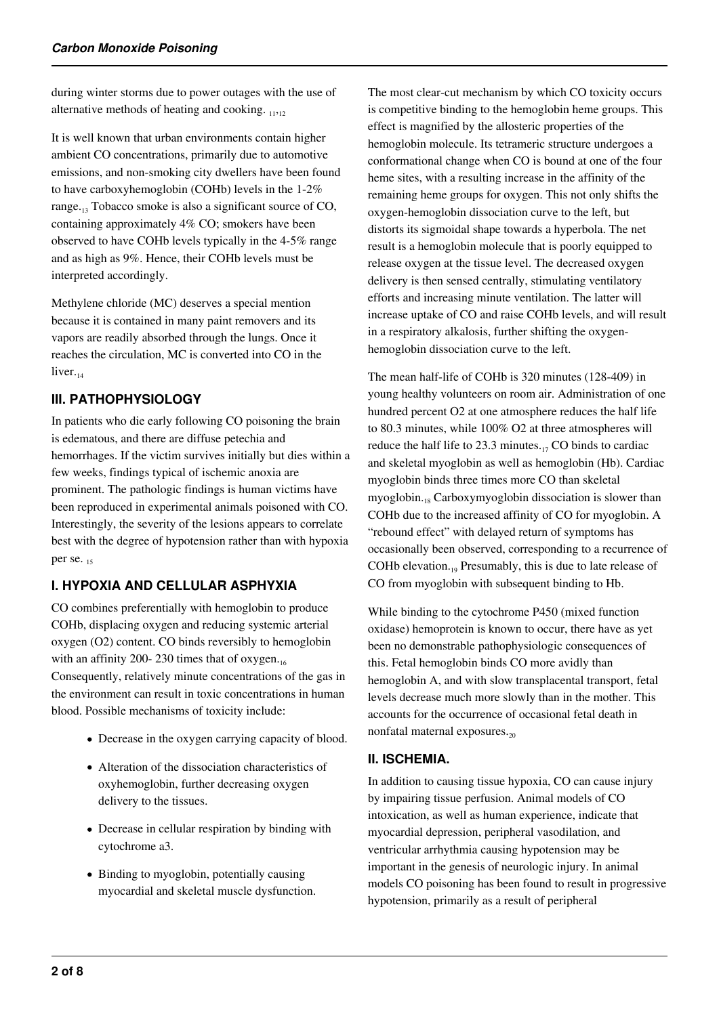during winter storms due to power outages with the use of alternative methods of heating and cooking.  $_{11,12}$ 

It is well known that urban environments contain higher ambient CO concentrations, primarily due to automotive emissions, and non-smoking city dwellers have been found to have carboxyhemoglobin (COHb) levels in the 1-2% range..., Tobacco smoke is also a significant source of CO, containing approximately 4% CO; smokers have been observed to have COHb levels typically in the 4-5% range and as high as 9%. Hence, their COHb levels must be interpreted accordingly.

Methylene chloride (MC) deserves a special mention because it is contained in many paint removers and its vapors are readily absorbed through the lungs. Once it reaches the circulation, MC is converted into CO in the liver. $_{14}$ 

# **III. PATHOPHYSIOLOGY**

In patients who die early following CO poisoning the brain is edematous, and there are diffuse petechia and hemorrhages. If the victim survives initially but dies within a few weeks, findings typical of ischemic anoxia are prominent. The pathologic findings is human victims have been reproduced in experimental animals poisoned with CO. Interestingly, the severity of the lesions appears to correlate best with the degree of hypotension rather than with hypoxia per se. 15

## **I. HYPOXIA AND CELLULAR ASPHYXIA**

CO combines preferentially with hemoglobin to produce COHb, displacing oxygen and reducing systemic arterial oxygen (O2) content. CO binds reversibly to hemoglobin with an affinity 200- 230 times that of  $oxygen_{16}$ Consequently, relatively minute concentrations of the gas in the environment can result in toxic concentrations in human blood. Possible mechanisms of toxicity include:

- Decrease in the oxygen carrying capacity of blood.
- Alteration of the dissociation characteristics of oxyhemoglobin, further decreasing oxygen delivery to the tissues.
- Decrease in cellular respiration by binding with cytochrome a3.
- Binding to myoglobin, potentially causing myocardial and skeletal muscle dysfunction.

The most clear-cut mechanism by which CO toxicity occurs is competitive binding to the hemoglobin heme groups. This effect is magnified by the allosteric properties of the hemoglobin molecule. Its tetrameric structure undergoes a conformational change when CO is bound at one of the four heme sites, with a resulting increase in the affinity of the remaining heme groups for oxygen. This not only shifts the oxygen-hemoglobin dissociation curve to the left, but distorts its sigmoidal shape towards a hyperbola. The net result is a hemoglobin molecule that is poorly equipped to release oxygen at the tissue level. The decreased oxygen delivery is then sensed centrally, stimulating ventilatory efforts and increasing minute ventilation. The latter will increase uptake of CO and raise COHb levels, and will result in a respiratory alkalosis, further shifting the oxygenhemoglobin dissociation curve to the left.

The mean half-life of COHb is 320 minutes (128-409) in young healthy volunteers on room air. Administration of one hundred percent O2 at one atmosphere reduces the half life to 80.3 minutes, while 100% O2 at three atmospheres will reduce the half life to 23.3 minutes. $_{17}$  CO binds to cardiac and skeletal myoglobin as well as hemoglobin (Hb). Cardiac myoglobin binds three times more CO than skeletal myoglobin.<sub>18</sub> Carboxymyoglobin dissociation is slower than COHb due to the increased affinity of CO for myoglobin. A "rebound effect" with delayed return of symptoms has occasionally been observed, corresponding to a recurrence of COHb elevation.19 Presumably, this is due to late release of CO from myoglobin with subsequent binding to Hb.

While binding to the cytochrome P450 (mixed function oxidase) hemoprotein is known to occur, there have as yet been no demonstrable pathophysiologic consequences of this. Fetal hemoglobin binds CO more avidly than hemoglobin A, and with slow transplacental transport, fetal levels decrease much more slowly than in the mother. This accounts for the occurrence of occasional fetal death in nonfatal maternal exposures. $_{20}$ 

#### **II. ISCHEMIA.**

In addition to causing tissue hypoxia, CO can cause injury by impairing tissue perfusion. Animal models of CO intoxication, as well as human experience, indicate that myocardial depression, peripheral vasodilation, and ventricular arrhythmia causing hypotension may be important in the genesis of neurologic injury. In animal models CO poisoning has been found to result in progressive hypotension, primarily as a result of peripheral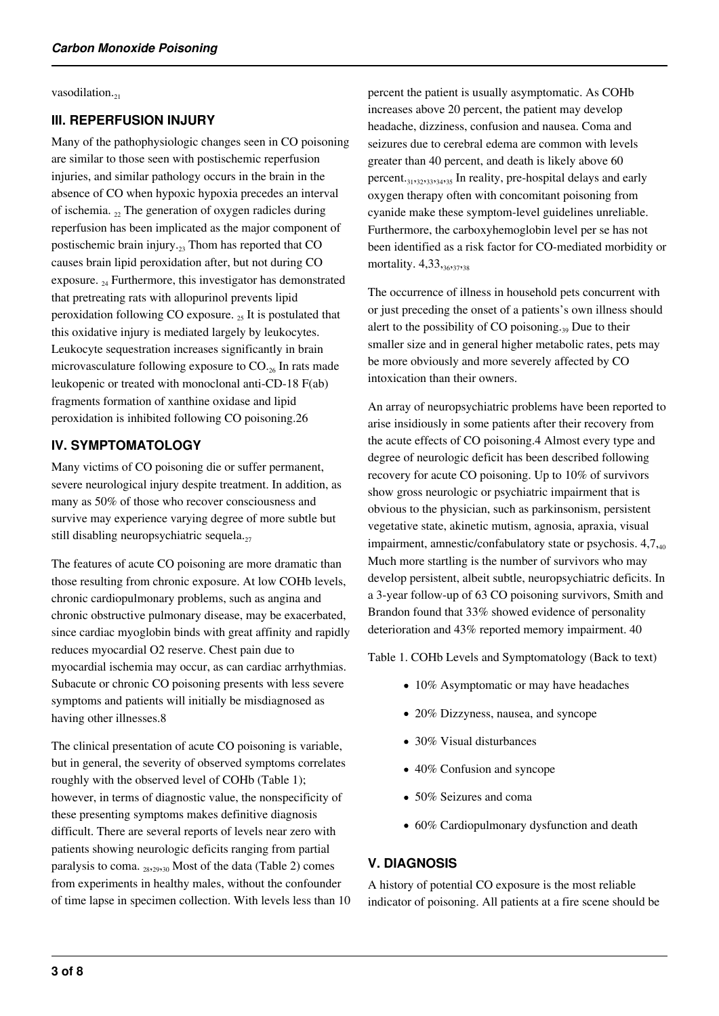vasodilation.<sub>21</sub>

#### **III. REPERFUSION INJURY**

Many of the pathophysiologic changes seen in CO poisoning are similar to those seen with postischemic reperfusion injuries, and similar pathology occurs in the brain in the absence of CO when hypoxic hypoxia precedes an interval of ischemia.  $_{22}$  The generation of oxygen radicles during reperfusion has been implicated as the major component of postischemic brain injury. $_{23}$  Thom has reported that CO causes brain lipid peroxidation after, but not during CO exposure.  $_{24}$  Furthermore, this investigator has demonstrated that pretreating rats with allopurinol prevents lipid peroxidation following CO exposure.  $_{25}$  It is postulated that this oxidative injury is mediated largely by leukocytes. Leukocyte sequestration increases significantly in brain microvasculature following exposure to  $CO_{.26}$  In rats made leukopenic or treated with monoclonal anti-CD-18 F(ab) fragments formation of xanthine oxidase and lipid peroxidation is inhibited following CO poisoning.26

## **IV. SYMPTOMATOLOGY**

Many victims of CO poisoning die or suffer permanent, severe neurological injury despite treatment. In addition, as many as 50% of those who recover consciousness and survive may experience varying degree of more subtle but still disabling neuropsychiatric sequela. $_{27}$ 

The features of acute CO poisoning are more dramatic than those resulting from chronic exposure. At low COHb levels, chronic cardiopulmonary problems, such as angina and chronic obstructive pulmonary disease, may be exacerbated, since cardiac myoglobin binds with great affinity and rapidly reduces myocardial O2 reserve. Chest pain due to myocardial ischemia may occur, as can cardiac arrhythmias. Subacute or chronic CO poisoning presents with less severe symptoms and patients will initially be misdiagnosed as having other illnesses.8

The clinical presentation of acute CO poisoning is variable, but in general, the severity of observed symptoms correlates roughly with the observed level of COHb (Table 1); however, in terms of diagnostic value, the nonspecificity of these presenting symptoms makes definitive diagnosis difficult. There are several reports of levels near zero with patients showing neurologic deficits ranging from partial paralysis to coma.  $_{2829,30}$  Most of the data (Table 2) comes from experiments in healthy males, without the confounder of time lapse in specimen collection. With levels less than 10 percent the patient is usually asymptomatic. As COHb increases above 20 percent, the patient may develop headache, dizziness, confusion and nausea. Coma and seizures due to cerebral edema are common with levels greater than 40 percent, and death is likely above 60 percent.31,32,33,34,35 In reality, pre-hospital delays and early oxygen therapy often with concomitant poisoning from cyanide make these symptom-level guidelines unreliable. Furthermore, the carboxyhemoglobin level per se has not been identified as a risk factor for CO-mediated morbidity or mortality. 4,33,36,37,38

The occurrence of illness in household pets concurrent with or just preceding the onset of a patients's own illness should alert to the possibility of CO poisoning.<sub>39</sub> Due to their smaller size and in general higher metabolic rates, pets may be more obviously and more severely affected by CO intoxication than their owners.

An array of neuropsychiatric problems have been reported to arise insidiously in some patients after their recovery from the acute effects of CO poisoning.4 Almost every type and degree of neurologic deficit has been described following recovery for acute CO poisoning. Up to 10% of survivors show gross neurologic or psychiatric impairment that is obvious to the physician, such as parkinsonism, persistent vegetative state, akinetic mutism, agnosia, apraxia, visual impairment, amnestic/confabulatory state or psychosis.  $4,7,_{40}$ Much more startling is the number of survivors who may develop persistent, albeit subtle, neuropsychiatric deficits. In a 3-year follow-up of 63 CO poisoning survivors, Smith and Brandon found that 33% showed evidence of personality deterioration and 43% reported memory impairment. 40

Table 1. COHb Levels and Symptomatology (Back to text)

- 10% Asymptomatic or may have headaches
- 20% Dizzyness, nausea, and syncope
- 30% Visual disturbances
- 40% Confusion and syncope
- 50% Seizures and coma
- 60% Cardiopulmonary dysfunction and death

## **V. DIAGNOSIS**

A history of potential CO exposure is the most reliable indicator of poisoning. All patients at a fire scene should be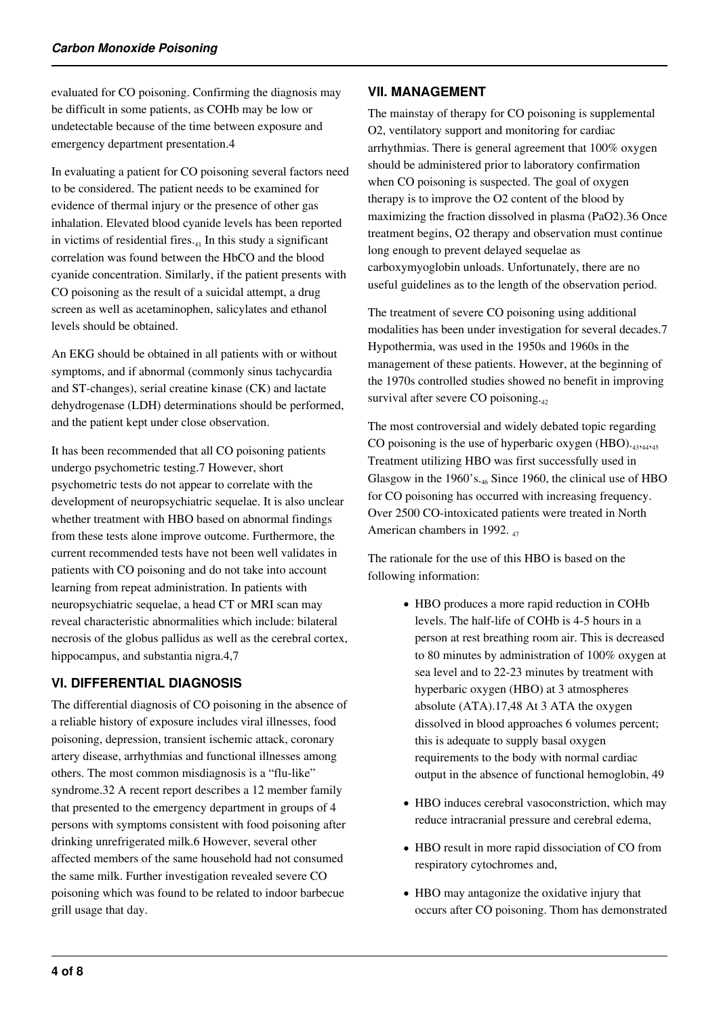evaluated for CO poisoning. Confirming the diagnosis may be difficult in some patients, as COHb may be low or undetectable because of the time between exposure and emergency department presentation.4

In evaluating a patient for CO poisoning several factors need to be considered. The patient needs to be examined for evidence of thermal injury or the presence of other gas inhalation. Elevated blood cyanide levels has been reported in victims of residential fires. $_{41}$  In this study a significant correlation was found between the HbCO and the blood cyanide concentration. Similarly, if the patient presents with CO poisoning as the result of a suicidal attempt, a drug screen as well as acetaminophen, salicylates and ethanol levels should be obtained.

An EKG should be obtained in all patients with or without symptoms, and if abnormal (commonly sinus tachycardia and ST-changes), serial creatine kinase (CK) and lactate dehydrogenase (LDH) determinations should be performed, and the patient kept under close observation.

It has been recommended that all CO poisoning patients undergo psychometric testing.7 However, short psychometric tests do not appear to correlate with the development of neuropsychiatric sequelae. It is also unclear whether treatment with HBO based on abnormal findings from these tests alone improve outcome. Furthermore, the current recommended tests have not been well validates in patients with CO poisoning and do not take into account learning from repeat administration. In patients with neuropsychiatric sequelae, a head CT or MRI scan may reveal characteristic abnormalities which include: bilateral necrosis of the globus pallidus as well as the cerebral cortex, hippocampus, and substantia nigra.4,7

# **VI. DIFFERENTIAL DIAGNOSIS**

The differential diagnosis of CO poisoning in the absence of a reliable history of exposure includes viral illnesses, food poisoning, depression, transient ischemic attack, coronary artery disease, arrhythmias and functional illnesses among others. The most common misdiagnosis is a "flu-like" syndrome.32 A recent report describes a 12 member family that presented to the emergency department in groups of 4 persons with symptoms consistent with food poisoning after drinking unrefrigerated milk.6 However, several other affected members of the same household had not consumed the same milk. Further investigation revealed severe CO poisoning which was found to be related to indoor barbecue grill usage that day.

#### **VII. MANAGEMENT**

The mainstay of therapy for CO poisoning is supplemental O2, ventilatory support and monitoring for cardiac arrhythmias. There is general agreement that 100% oxygen should be administered prior to laboratory confirmation when CO poisoning is suspected. The goal of oxygen therapy is to improve the O2 content of the blood by maximizing the fraction dissolved in plasma (PaO2).36 Once treatment begins, O2 therapy and observation must continue long enough to prevent delayed sequelae as carboxymyoglobin unloads. Unfortunately, there are no useful guidelines as to the length of the observation period.

The treatment of severe CO poisoning using additional modalities has been under investigation for several decades.7 Hypothermia, was used in the 1950s and 1960s in the management of these patients. However, at the beginning of the 1970s controlled studies showed no benefit in improving survival after severe CO poisoning.<sub>42</sub>

The most controversial and widely debated topic regarding CO poisoning is the use of hyperbaric oxygen (HBO).<sub>43,44,45</sub> Treatment utilizing HBO was first successfully used in Glasgow in the 1960's. $_{46}$  Since 1960, the clinical use of HBO for CO poisoning has occurred with increasing frequency. Over 2500 CO-intoxicated patients were treated in North American chambers in 1992.  $_{47}$ 

The rationale for the use of this HBO is based on the following information:

- HBO produces a more rapid reduction in COHb levels. The half-life of COHb is 4-5 hours in a person at rest breathing room air. This is decreased to 80 minutes by administration of 100% oxygen at sea level and to 22-23 minutes by treatment with hyperbaric oxygen (HBO) at 3 atmospheres absolute (ATA).17,48 At 3 ATA the oxygen dissolved in blood approaches 6 volumes percent; this is adequate to supply basal oxygen requirements to the body with normal cardiac output in the absence of functional hemoglobin, 49
- HBO induces cerebral vasoconstriction, which may reduce intracranial pressure and cerebral edema,
- HBO result in more rapid dissociation of CO from respiratory cytochromes and,
- HBO may antagonize the oxidative injury that occurs after CO poisoning. Thom has demonstrated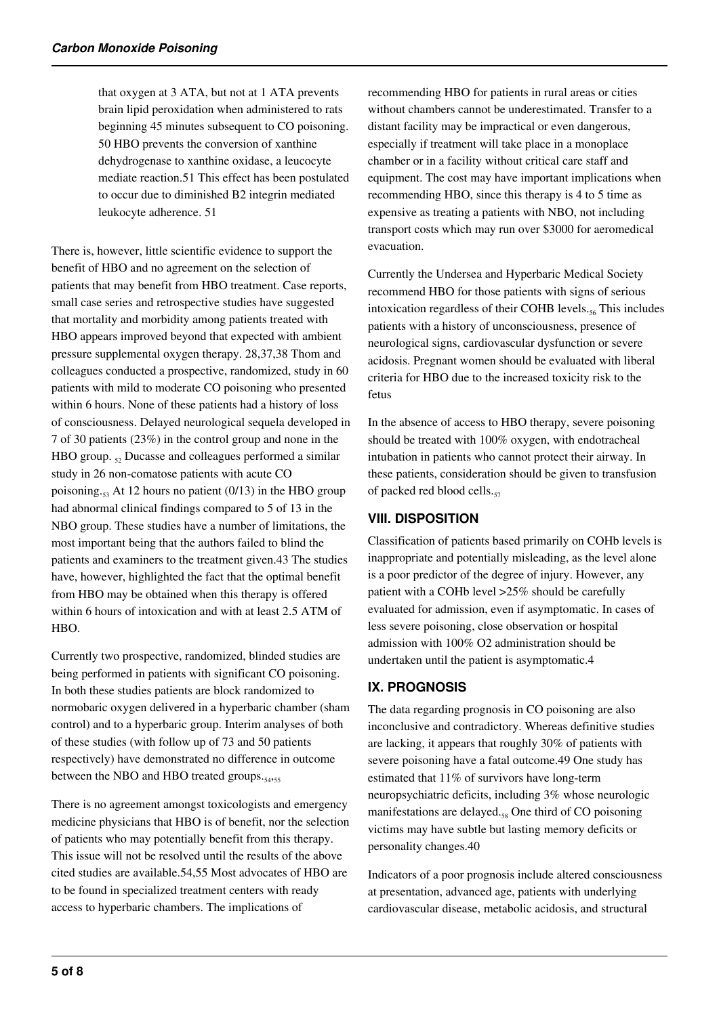that oxygen at 3 ATA, but not at 1 ATA prevents brain lipid peroxidation when administered to rats beginning 45 minutes subsequent to CO poisoning. 50 HBO prevents the conversion of xanthine dehydrogenase to xanthine oxidase, a leucocyte mediate reaction.51 This effect has been postulated to occur due to diminished B2 integrin mediated leukocyte adherence. 51

There is, however, little scientific evidence to support the benefit of HBO and no agreement on the selection of patients that may benefit from HBO treatment. Case reports, small case series and retrospective studies have suggested that mortality and morbidity among patients treated with HBO appears improved beyond that expected with ambient pressure supplemental oxygen therapy. 28,37,38 Thom and colleagues conducted a prospective, randomized, study in 60 patients with mild to moderate CO poisoning who presented within 6 hours. None of these patients had a history of loss of consciousness. Delayed neurological sequela developed in 7 of 30 patients (23%) in the control group and none in the HBO group.  $\epsilon_2$  Ducasse and colleagues performed a similar study in 26 non-comatose patients with acute CO poisoning.<sub>53</sub> At 12 hours no patient (0/13) in the HBO group had abnormal clinical findings compared to 5 of 13 in the NBO group. These studies have a number of limitations, the most important being that the authors failed to blind the patients and examiners to the treatment given.43 The studies have, however, highlighted the fact that the optimal benefit from HBO may be obtained when this therapy is offered within 6 hours of intoxication and with at least 2.5 ATM of HBO.

Currently two prospective, randomized, blinded studies are being performed in patients with significant CO poisoning. In both these studies patients are block randomized to normobaric oxygen delivered in a hyperbaric chamber (sham control) and to a hyperbaric group. Interim analyses of both of these studies (with follow up of 73 and 50 patients respectively) have demonstrated no difference in outcome between the NBO and HBO treated groups.

There is no agreement amongst toxicologists and emergency medicine physicians that HBO is of benefit, nor the selection of patients who may potentially benefit from this therapy. This issue will not be resolved until the results of the above cited studies are available.54,55 Most advocates of HBO are to be found in specialized treatment centers with ready access to hyperbaric chambers. The implications of

recommending HBO for patients in rural areas or cities without chambers cannot be underestimated. Transfer to a distant facility may be impractical or even dangerous, especially if treatment will take place in a monoplace chamber or in a facility without critical care staff and equipment. The cost may have important implications when recommending HBO, since this therapy is 4 to 5 time as expensive as treating a patients with NBO, not including transport costs which may run over \$3000 for aeromedical evacuation.

Currently the Undersea and Hyperbaric Medical Society recommend HBO for those patients with signs of serious intoxication regardless of their COHB levels. $_{56}$  This includes patients with a history of unconsciousness, presence of neurological signs, cardiovascular dysfunction or severe acidosis. Pregnant women should be evaluated with liberal criteria for HBO due to the increased toxicity risk to the fetus

In the absence of access to HBO therapy, severe poisoning should be treated with 100% oxygen, with endotracheal intubation in patients who cannot protect their airway. In these patients, consideration should be given to transfusion of packed red blood cells.<sub>57</sub>

## **VIII. DISPOSITION**

Classification of patients based primarily on COHb levels is inappropriate and potentially misleading, as the level alone is a poor predictor of the degree of injury. However, any patient with a COHb level >25% should be carefully evaluated for admission, even if asymptomatic. In cases of less severe poisoning, close observation or hospital admission with 100% O2 administration should be undertaken until the patient is asymptomatic.4

## **IX. PROGNOSIS**

The data regarding prognosis in CO poisoning are also inconclusive and contradictory. Whereas definitive studies are lacking, it appears that roughly 30% of patients with severe poisoning have a fatal outcome.49 One study has estimated that 11% of survivors have long-term neuropsychiatric deficits, including 3% whose neurologic manifestations are delayed.58 One third of CO poisoning victims may have subtle but lasting memory deficits or personality changes.40

Indicators of a poor prognosis include altered consciousness at presentation, advanced age, patients with underlying cardiovascular disease, metabolic acidosis, and structural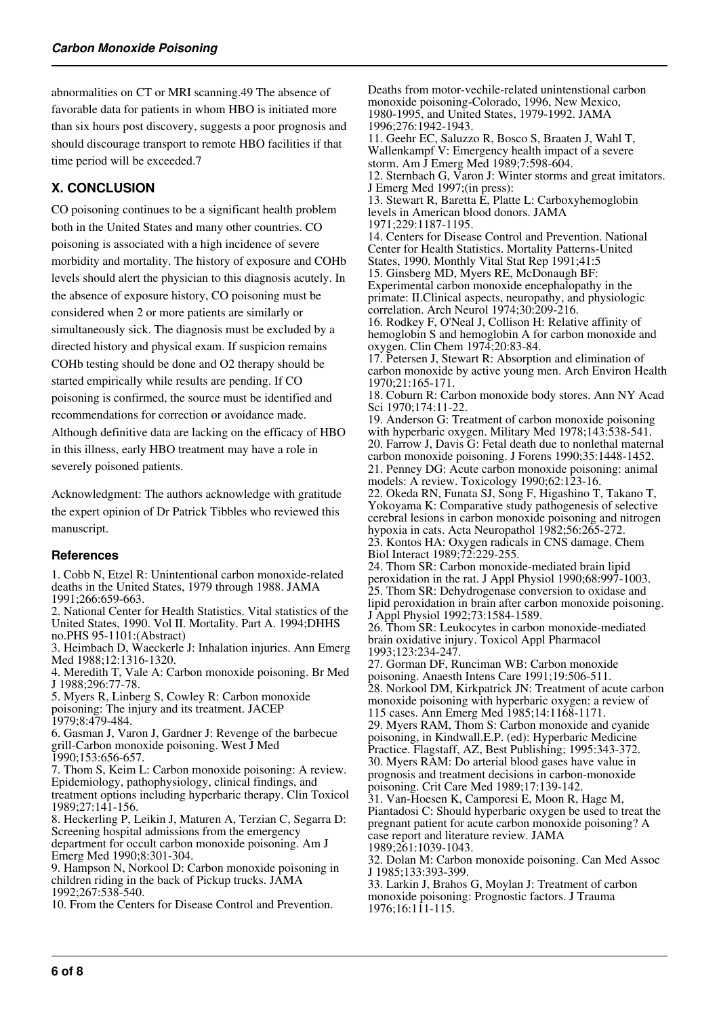abnormalities on CT or MRI scanning.49 The absence of favorable data for patients in whom HBO is initiated more than six hours post discovery, suggests a poor prognosis and should discourage transport to remote HBO facilities if that time period will be exceeded.7

# **X. CONCLUSION**

CO poisoning continues to be a significant health problem both in the United States and many other countries. CO poisoning is associated with a high incidence of severe morbidity and mortality. The history of exposure and COHb levels should alert the physician to this diagnosis acutely. In the absence of exposure history, CO poisoning must be considered when 2 or more patients are similarly or simultaneously sick. The diagnosis must be excluded by a directed history and physical exam. If suspicion remains COHb testing should be done and O2 therapy should be started empirically while results are pending. If CO poisoning is confirmed, the source must be identified and recommendations for correction or avoidance made. Although definitive data are lacking on the efficacy of HBO in this illness, early HBO treatment may have a role in severely poisoned patients.

Acknowledgment: The authors acknowledge with gratitude the expert opinion of Dr Patrick Tibbles who reviewed this manuscript.

#### **References**

1. Cobb N, Etzel R: Unintentional carbon monoxide-related deaths in the United States, 1979 through 1988. JAMA 1991;266:659-663.

2. National Center for Health Statistics. Vital statistics of the United States, 1990. Vol II. Mortality. Part A. 1994;DHHS no.PHS 95-1101:(Abstract)

3. Heimbach D, Waeckerle J: Inhalation injuries. Ann Emerg Med 1988;12:1316-1320.

4. Meredith T, Vale A: Carbon monoxide poisoning. Br Med J 1988;296:77-78.

5. Myers R, Linberg S, Cowley R: Carbon monoxide poisoning: The injury and its treatment. JACEP 1979;8:479-484.

6. Gasman J, Varon J, Gardner J: Revenge of the barbecue grill-Carbon monoxide poisoning. West J Med 1990;153:656-657.

7. Thom S, Keim L: Carbon monoxide poisoning: A review. Epidemiology, pathophysiology, clinical findings, and treatment options including hyperbaric therapy. Clin Toxicol 1989;27:141-156.

8. Heckerling P, Leikin J, Maturen A, Terzian C, Segarra D: Screening hospital admissions from the emergency department for occult carbon monoxide poisoning. Am J Emerg Med 1990;8:301-304.

9. Hampson N, Norkool D: Carbon monoxide poisoning in children riding in the back of Pickup trucks. JAMA 1992;267:538-540.

10. From the Centers for Disease Control and Prevention.

Deaths from motor-vechile-related unintenstional carbon monoxide poisoning-Colorado, 1996, New Mexico, 1980-1995, and United States, 1979-1992. JAMA 1996;276:1942-1943. 11. Geehr EC, Saluzzo R, Bosco S, Braaten J, Wahl T, Wallenkampf V: Emergency health impact of a severe storm. Am J Emerg Med 1989;7:598-604. 12. Sternbach G, Varon J: Winter storms and great imitators. J Emerg Med 1997;(in press): 13. Stewart R, Baretta E, Platte L: Carboxyhemoglobin levels in American blood donors. JAMA 1971;229:1187-1195. 14. Centers for Disease Control and Prevention. National Center for Health Statistics. Mortality Patterns-United States, 1990. Monthly Vital Stat Rep 1991;41:5 15. Ginsberg MD, Myers RE, McDonaugh BF: Experimental carbon monoxide encephalopathy in the primate: II.Clinical aspects, neuropathy, and physiologic correlation. Arch Neurol 1974;30:209-216. 16. Rodkey F, O'Neal J, Collison H: Relative affinity of hemoglobin S and hemoglobin A for carbon monoxide and oxygen. Clin Chem 1974;20:83-84. 17. Petersen J, Stewart R: Absorption and elimination of carbon monoxide by active young men. Arch Environ Health 1970;21:165-171. 18. Coburn R: Carbon monoxide body stores. Ann NY Acad Sci 1970;174:11-22. 19. Anderson G: Treatment of carbon monoxide poisoning with hyperbaric oxygen. Military Med 1978;143:538-541. 20. Farrow J, Davis G: Fetal death due to nonlethal maternal carbon monoxide poisoning. J Forens 1990;35:1448-1452. 21. Penney DG: Acute carbon monoxide poisoning: animal models: A review. Toxicology 1990;62:123-16. 22. Okeda RN, Funata SJ, Song F, Higashino T, Takano T, Yokoyama K: Comparative study pathogenesis of selective cerebral lesions in carbon monoxide poisoning and nitrogen hypoxia in cats. Acta Neuropathol 1982;56:265-272. 23. Kontos HA: Oxygen radicals in CNS damage. Chem Biol Interact 1989;72:229-255. 24. Thom SR: Carbon monoxide-mediated brain lipid peroxidation in the rat. J Appl Physiol 1990;68:997-1003. 25. Thom SR: Dehydrogenase conversion to oxidase and lipid peroxidation in brain after carbon monoxide poisoning. J Appl Physiol 1992;73:1584-1589. 26. Thom SR: Leukocytes in carbon monoxide-mediated brain oxidative injury. Toxicol Appl Pharmacol 1993;123:234-247. 27. Gorman DF, Runciman WB: Carbon monoxide poisoning. Anaesth Intens Care 1991;19:506-511. 28. Norkool DM, Kirkpatrick JN: Treatment of acute carbon monoxide poisoning with hyperbaric oxygen: a review of 115 cases. Ann Emerg Med 1985;14:1168-1171. 29. Myers RAM, Thom S: Carbon monoxide and cyanide poisoning, in Kindwall.E.P. (ed): Hyperbaric Medicine Practice. Flagstaff, AZ, Best Publishing; 1995:343-372. 30. Myers RAM: Do arterial blood gases have value in prognosis and treatment decisions in carbon-monoxide poisoning. Crit Care Med 1989;17:139-142. 31. Van-Hoesen K, Camporesi E, Moon R, Hage M, Piantadosi C: Should hyperbaric oxygen be used to treat the pregnant patient for acute carbon monoxide poisoning? A case report and literature review. JAMA 1989;261:1039-1043. 32. Dolan M: Carbon monoxide poisoning. Can Med Assoc J 1985;133:393-399. 33. Larkin J, Brahos G, Moylan J: Treatment of carbon monoxide poisoning: Prognostic factors. J Trauma 1976;16:111-115.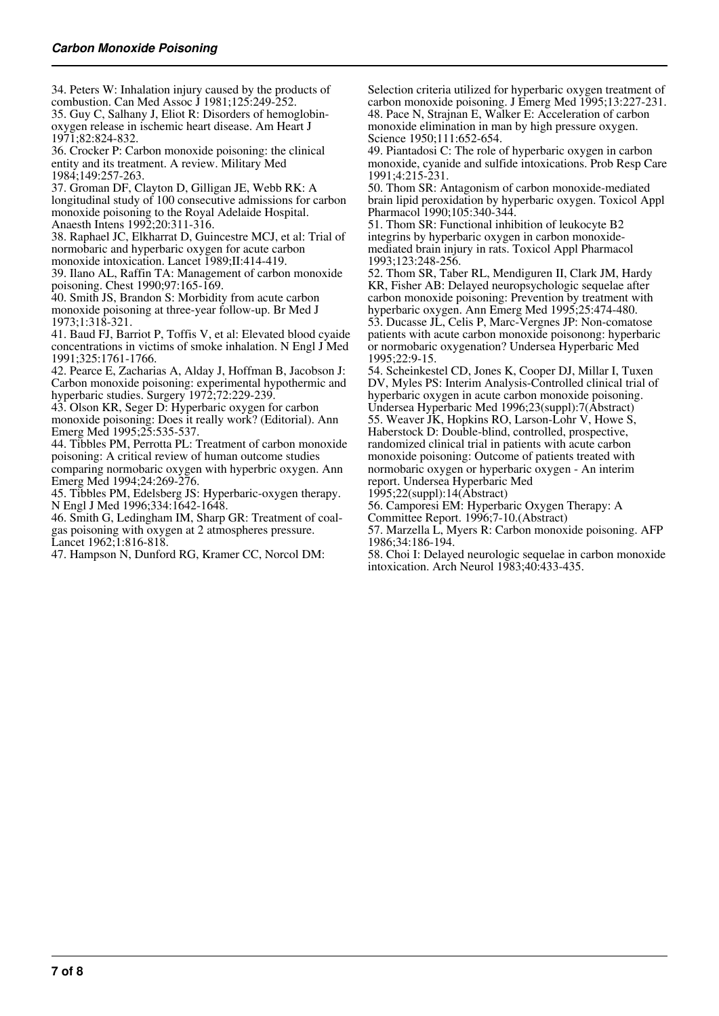34. Peters W: Inhalation injury caused by the products of combustion. Can Med Assoc J 1981;125:249-252.

35. Guy C, Salhany J, Eliot R: Disorders of hemoglobinoxygen release in ischemic heart disease. Am Heart J 1971;82:824-832.

36. Crocker P: Carbon monoxide poisoning: the clinical entity and its treatment. A review. Military Med 1984;149:257-263.

37. Groman DF, Clayton D, Gilligan JE, Webb RK: A longitudinal study of 100 consecutive admissions for carbon monoxide poisoning to the Royal Adelaide Hospital. Anaesth Intens 1992;20:311-316.

38. Raphael JC, Elkharrat D, Guincestre MCJ, et al: Trial of normobaric and hyperbaric oxygen for acute carbon

monoxide intoxication. Lancet 1989;II:414-419. 39. Ilano AL, Raffin TA: Management of carbon monoxide poisoning. Chest 1990;97:165-169.

40. Smith JS, Brandon S: Morbidity from acute carbon monoxide poisoning at three-year follow-up. Br Med J 1973;1:318-321.

41. Baud FJ, Barriot P, Toffis V, et al: Elevated blood cyaide concentrations in victims of smoke inhalation. N Engl J Med 1991;325:1761-1766.

42. Pearce E, Zacharias A, Alday J, Hoffman B, Jacobson J: Carbon monoxide poisoning: experimental hypothermic and hyperbaric studies. Surgery 1972;72:229-239.

43. Olson KR, Seger D: Hyperbaric oxygen for carbon monoxide poisoning: Does it really work? (Editorial). Ann Emerg Med 1995;25:535-537.

44. Tibbles PM, Perrotta PL: Treatment of carbon monoxide poisoning: A critical review of human outcome studies comparing normobaric oxygen with hyperbric oxygen. Ann Emerg Med 1994;24:269-276.

45. Tibbles PM, Edelsberg JS: Hyperbaric-oxygen therapy. N Engl J Med 1996;334:1642-1648.

46. Smith G, Ledingham IM, Sharp GR: Treatment of coalgas poisoning with oxygen at 2 atmospheres pressure. Lancet 1962;1:816-818.

47. Hampson N, Dunford RG, Kramer CC, Norcol DM:

Selection criteria utilized for hyperbaric oxygen treatment of carbon monoxide poisoning. J Emerg Med 1995;13:227-231. 48. Pace N, Strajnan E, Walker E: Acceleration of carbon monoxide elimination in man by high pressure oxygen. Science 1950;111:652-654.

49. Piantadosi C: The role of hyperbaric oxygen in carbon monoxide, cyanide and sulfide intoxications. Prob Resp Care 1991;4:215-231.

50. Thom SR: Antagonism of carbon monoxide-mediated brain lipid peroxidation by hyperbaric oxygen. Toxicol Appl Pharmacol 1990;105:340-344.

51. Thom SR: Functional inhibition of leukocyte B2 integrins by hyperbaric oxygen in carbon monoxidemediated brain injury in rats. Toxicol Appl Pharmacol 1993;123:248-256.

52. Thom SR, Taber RL, Mendiguren II, Clark JM, Hardy KR, Fisher AB: Delayed neuropsychologic sequelae after carbon monoxide poisoning: Prevention by treatment with hyperbaric oxygen. Ann Emerg Med 1995;25:474-480. 53. Ducasse JL, Celis P, Marc-Vergnes JP: Non-comatose patients with acute carbon monoxide poisonong: hyperbaric or normobaric oxygenation? Undersea Hyperbaric Med 1995;22:9-15.

54. Scheinkestel CD, Jones K, Cooper DJ, Millar I, Tuxen DV, Myles PS: Interim Analysis-Controlled clinical trial of hyperbaric oxygen in acute carbon monoxide poisoning. Undersea Hyperbaric Med 1996;23(suppl):7(Abstract)

55. Weaver JK, Hopkins RO, Larson-Lohr V, Howe S, Haberstock D: Double-blind, controlled, prospective, randomized clinical trial in patients with acute carbon monoxide poisoning: Outcome of patients treated with normobaric oxygen or hyperbaric oxygen - An interim report. Undersea Hyperbaric Med

1995;22(suppl):14(Abstract)

56. Camporesi EM: Hyperbaric Oxygen Therapy: A

Committee Report. 1996;7-10.(Abstract)

57. Marzella L, Myers R: Carbon monoxide poisoning. AFP 1986;34:186-194.

58. Choi I: Delayed neurologic sequelae in carbon monoxide intoxication. Arch Neurol 1983;40:433-435.